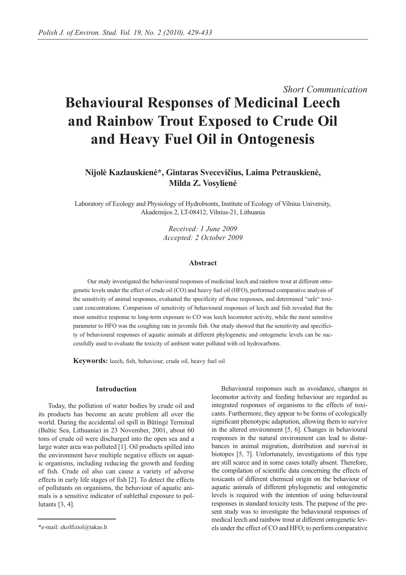# *Short Communication*  **Behavioural Responses of Medicinal Leech and Rainbow Trout Exposed to Crude Oil and Heavy Fuel Oil in Ontogenesis**

# **Nijolė Kazlauskienė\*, Gintaras Svecevičius, Laima Petrauskienė, Milda Z. Vosylienė**

Laboratory of Ecology and Physiology of Hydrobionts, Institute of Ecology of Vilnius University, Akademijos 2, LT-08412, Vilnius-21, Lithuania

> *Received: 1 June 2009 Accepted: 2 October 2009*

# **Abstract**

Our study investigated the behavioural responses of medicinal leech and rainbow trout at different ontogenetic levels under the effect of crude oil (CO) and heavy fuel oil (HFO), performed comparative analysis of the sensitivity of animal responses, evaluated the specificity of these responses, and determined "safe" toxicant concentrations. Comparison of sensitivity of behavioural responses of leech and fish revealed that the most sensitive response to long-term exposure to CO was leech locomotor activity, while the most sensitive parameter to HFO was the coughing rate in juvenile fish. Our study showed that the sensitivity and specificity of behavioural responses of aquatic animals at different phylogenetic and ontogenetic levels can be successfully used to evaluate the toxicity of ambient water polluted with oil hydrocarbons.

**Keywords:** leech, fish, behaviour, crude oil, heavy fuel oil

# **Introduction**

Today, the pollution of water bodies by crude oil and its products has become an acute problem all over the world. During the accidental oil spill in Būtingė Terminal (Baltic Sea, Lithuania) in 23 November, 2001, about 60 tons of crude oil were discharged into the open sea and a large water area was polluted [1]. Oil products spilled into the environment have multiple negative effects on aquatic organisms, including reducing the growth and feeding of fish. Crude oil also can cause a variety of adverse effects in early life stages of fish [2]. To detect the effects of pollutants on organisms, the behaviour of aquatic animals is a sensitive indicator of sublethal exposure to pollutants [3, 4].

Behavioural responses such as avoidance, changes in locomotor activity and feeding behaviour are regarded as integrated responses of organisms to the effects of toxicants. Furthermore, they appear to be forms of ecologically significant phenotypic adaptation, allowing them to survive in the altered environment [5, 6]. Changes in behavioural responses in the natural environment can lead to disturbances in animal migration, distribution and survival in biotopes [5, 7]. Unfortunately, investigations of this type are still scarce and in some cases totally absent. Therefore, the compilation of scientific data concerning the effects of toxicants of different chemical origin on the behaviour of aquatic animals of different phylogenetic and ontogenetic levels is required with the intention of using behavioural responses in standard toxicity tests. The purpose of the present study was to investigate the behavioural responses of medical leech and rainbow trout at different ontogenetic levels under the effect of CO and HFO; to perform comparative

<sup>\*</sup>e-mail: ekolfiziol@takas.lt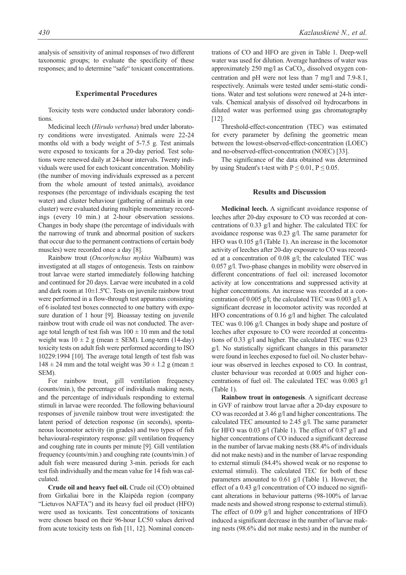analysis of sensitivity of animal responses of two different taxonomic groups; to evaluate the specificity of these responses; and to determine "safe" toxicant concentrations.

#### **Experimental Procedures**

Toxicity tests were conducted under laboratory conditions.

Medicinal leech (*Hirudo verbana*) bred under laboratory conditions were investigated. Animals were 22-24 months old with a body weight of 5-7.5 g. Test animals were exposed to toxicants for a 20-day period. Test solutions were renewed daily at 24-hour intervals. Twenty individuals were used for each toxicant concentration. Mobility (the number of moving individuals expressed as a percent from the whole amount of tested animals), avoidance responses (the percentage of individuals escaping the test water) and cluster behaviour (gathering of animals in one cluster) were evaluated during multiple momentary recordings (every 10 min.) at 2-hour observation sessions. Changes in body shape (the percentage of individuals with the narrowing of trunk and abnormal position of suckers that occur due to the permanent contractions of certain body muscles) were recorded once a day [8].

Rainbow trout (*Oncorhynchus mykiss* Walbaum) was investigated at all stages of ontogenesis. Tests on rainbow trout larvae were started immediately following hatching and continued for 20 days. Larvae were incubated in a cold and dark room at 10±1.5ºC. Tests on juvenile rainbow trout were performed in a flow-through test apparatus consisting of 6 isolated test boxes connected to one battery with exposure duration of 1 hour [9]. Bioassay testing on juvenile rainbow trout with crude oil was not conducted. The average total length of test fish was  $100 \pm 10$  mm and the total weight was  $10 \pm 2$  g (mean  $\pm$  SEM). Long-term (14-day) toxicity tests on adult fish were performed according to ISO 10229:1994 [10]. The average total length of test fish was  $148 \pm 24$  mm and the total weight was  $30 \pm 1.2$  g (mean  $\pm$ SEM).

For rainbow trout, gill ventilation frequency (counts/min.), the percentage of individuals making nests, and the percentage of individuals responding to external stimuli in larvae were recorded. The following behavioural responses of juvenile rainbow trout were investigated: the latent period of detection response (in seconds), spontaneous locomotor activity (in grades) and two types of fish behavioural-respiratory response: gill ventilation frequency and coughing rate in counts per minute [9]. Gill ventilation frequency (counts/min.) and coughing rate (counts/min.) of adult fish were measured during 3-min. periods for each test fish individually and the mean value for 14 fish was calculated.

**Crude oil and heavy fuel oil.** Crude oil (CO) obtained from Girkaliai bore in the Klaipėda region (company "Lietuvos NAFTA") and its heavy fuel oil product (HFO) were used as toxicants. Test concentrations of toxicants were chosen based on their 96-hour LC50 values derived from acute toxicity tests on fish [11, 12]. Nominal concentrations of CO and HFO are given in Table 1. Deep-well water was used for dilution. Average hardness of water was approximately 250 mg/l as  $CaCO<sub>3</sub>$ , dissolved oxygen concentration and pH were not less than 7 mg/l and 7.9-8.1, respectively. Animals were tested under semi-static conditions. Water and test solutions were renewed at 24-h intervals. Chemical analysis of dissolved oil hydrocarbons in diluted water was performed using gas chromatography [12].

Threshold-effect-concentration (TEC) was estimated for every parameter by defining the geometric mean between the lowest-observed-effect-concentration (LOEC) and no-observed-effect-concentration (NOEC) [33].

The significance of the data obtained was determined by using Student's t-test with  $P \le 0.01$ ,  $P \le 0.05$ .

### **Results and Discussion**

**Medicinal leech.** A significant avoidance response of leeches after 20-day exposure to CO was recorded at concentrations of 0.33 g/l and higher. The calculated TEC for avoidance response was 0.23 g/l. The same parameter for HFO was 0.105 g/l (Table 1). An increase in the locomotor activity of leeches after 20-day exposure to CO was recorded at a concentration of 0.08 g/l; the calculated TEC was 0.057 g/l. Two-phase changes in mobility were observed in different concentrations of fuel oil: increased locomotor activity at low concentrations and suppressed activity at higher concentrations. An increase was recorded at a concentration of 0.005 g/l; the calculated TEC was 0.003 g/l. A significant decrease in locomotor activity was recorded at HFO concentrations of 0.16 g/l and higher. The calculated TEC was 0.106 g/l. Changes in body shape and posture of leeches after exposure to CO were recorded at concentrations of 0.33 g/l and higher. The calculated TEC was 0.23 g/l. No statistically significant changes in this parameter were found in leeches exposed to fuel oil. No cluster behaviour was observed in leeches exposed to CO. In contrast, cluster behaviour was recorded at 0.005 and higher concentrations of fuel oil. The calculated TEC was 0.003 g/l (Table 1).

**Rainbow trout in ontogenesis**. A significant decrease in GVF of rainbow trout larvae after a 20-day exposure to CO was recorded at 3.46 g/l and higher concentrations. The calculated TEC amounted to 2.45 g/l. The same parameter for HFO was 0.03 g/l (Table 1). The effect of 0.87 g/l and higher concentrations of CO induced a significant decrease in the number of larvae making nests (88.4% of individuals did not make nests) and in the number of larvae responding to external stimuli (84.4% showed weak or no response to external stimuli). The calculated TEC for both of these parameters amounted to 0.61 g/l (Table 1). However, the effect of a 0.43 g/l concentration of CO induced no significant alterations in behaviour patterns (98-100% of larvae made nests and showed strong response to external stimuli). The effect of 0.09 g/l and higher concentrations of HFO induced a significant decrease in the number of larvae making nests (98.6% did not make nests) and in the number of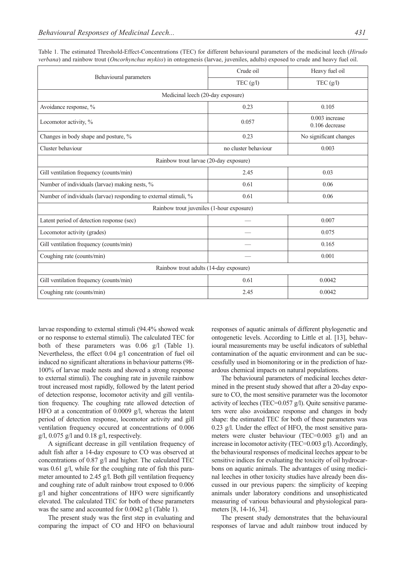| Behavioural parameters                                           | Crude oil            | Heavy fuel oil                     |
|------------------------------------------------------------------|----------------------|------------------------------------|
|                                                                  | TEC(g/l)             | TEC(g/l)                           |
| Medicinal leech (20-day exposure)                                |                      |                                    |
| Avoidance response, %                                            | 0.23                 | 0.105                              |
| Locomotor activity, %                                            | 0.057                | $0.003$ increase<br>0.106 decrease |
| Changes in body shape and posture, %                             | 0.23                 | No significant changes             |
| Cluster behaviour                                                | no cluster behaviour | 0.003                              |
| Rainbow trout larvae (20-day exposure)                           |                      |                                    |
| Gill ventilation frequency (counts/min)                          | 2.45                 | 0.03                               |
| Number of individuals (larvae) making nests, %                   | 0.61                 | 0.06                               |
| Number of individuals (larvae) responding to external stimuli, % | 0.61                 | 0.06                               |
| Rainbow trout juveniles (1-hour exposure)                        |                      |                                    |
| Latent period of detection response (sec)                        |                      | 0.007                              |
| Locomotor activity (grades)                                      |                      | 0.075                              |
| Gill ventilation frequency (counts/min)                          |                      | 0.165                              |
| Coughing rate (counts/min)                                       |                      | 0.001                              |
| Rainbow trout adults (14-day exposure)                           |                      |                                    |
| Gill ventilation frequency (counts/min)                          | 0.61                 | 0.0042                             |
| Coughing rate (counts/min)                                       | 2.45                 | 0.0042                             |

Table 1. The estimated Threshold-Effect-Concentrations (TEC) for different behavioural parameters of the medicinal leech (*Hirudo verbana*) and rainbow trout (*Oncorhynchus mykiss*) in ontogenesis (larvae, juveniles, adults) exposed to crude and heavy fuel oil.

larvae responding to external stimuli (94.4% showed weak or no response to external stimuli). The calculated TEC for both of these parameters was 0.06 g/l (Table 1). Nevertheless, the effect 0.04 g/l concentration of fuel oil induced no significant alterations in behaviour patterns (98- 100% of larvae made nests and showed a strong response to external stimuli). The coughing rate in juvenile rainbow trout increased most rapidly, followed by the latent period of detection response, locomotor activity and gill ventilation frequency. The coughing rate allowed detection of HFO at a concentration of 0.0009 g/l, whereas the latent period of detection response, locomotor activity and gill ventilation frequency occured at concentrations of 0.006 g/l,  $0.075$  g/l and  $0.18$  g/l, respectively.

A significant decrease in gill ventilation frequency of adult fish after a 14-day exposure to CO was observed at concentrations of 0.87 g/l and higher. The calculated TEC was 0.61 g/l, while for the coughing rate of fish this parameter amounted to 2.45 g/l. Both gill ventilation frequency and coughing rate of adult rainbow trout exposed to 0.006 g/l and higher concentrations of HFO were significantly elevated. The calculated TEC for both of these parameters was the same and accounted for 0.0042 g/l (Table 1).

The present study was the first step in evaluating and comparing the impact of CO and HFO on behavioural responses of aquatic animals of different phylogenetic and ontogenetic levels. According to Little et al. [13], behavioural measurements may be useful indicators of sublethal contamination of the aquatic environment and can be successfully used in biomonitoring or in the prediction of hazardous chemical impacts on natural populations.

The behavioural parameters of medicinal leeches determined in the present study showed that after a 20-day exposure to CO, the most sensitive parameter was the locomotor activity of leeches (TEC=0.057 g/l). Quite sensitive parameters were also avoidance response and changes in body shape: the estimated TEC for both of these parameters was 0.23 g/l. Under the effect of HFO, the most sensitive parameters were cluster behaviour (TEC=0.003 g/l) and an increase in locomotor activity (TEC=0.003 g/l). Accordingly, the behavioural responses of medicinal leeches appear to be sensitive indices for evaluating the toxicity of oil hydrocarbons on aquatic animals. The advantages of using medicinal leeches in other toxicity studies have already been discussed in our previous papers: the simplicity of keeping animals under laboratory conditions and unsophisticated measuring of various behavioural and physiological parameters [8, 14-16, 34].

The present study demonstrates that the behavioural responses of larvae and adult rainbow trout induced by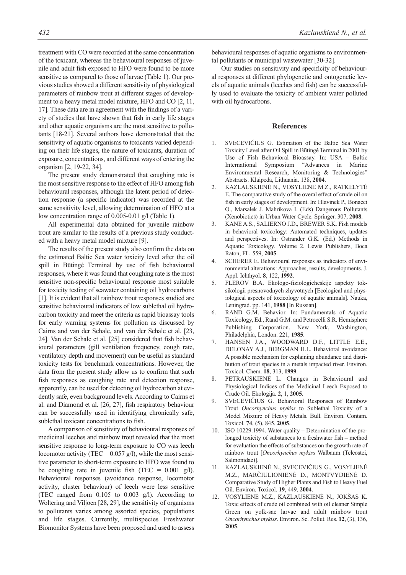treatment with CO were recorded at the same concentration of the toxicant, whereas the behavioural responses of juvenile and adult fish exposed to HFO were found to be more sensitive as compared to those of larvae (Table 1). Our previous studies showed a different sensitivity of physiological parameters of rainbow trout at different stages of development to a heavy metal model mixture, HFO and CO [2, 11, 17]. These data are in agreement with the findings of a variety of studies that have shown that fish in early life stages and other aquatic organisms are the most sensitive to pollutants [18-21]. Several authors have demonstrated that the sensitivity of aquatic organisms to toxicants varied depending on their life stages, the nature of toxicants, duration of exposure, concentrations, and different ways of entering the organism [2, 19-22, 34].

The present study demonstrated that coughing rate is the most sensitive response to the effect of HFO among fish behavioural responses, although the latent period of detection response (a specific indicator) was recorded at the same sensitivity level, allowing determination of HFO at a low concentration range of 0.005-0.01 g/l (Table 1).

All experimental data obtained for juvenile rainbow trout are similar to the results of a previous study conducted with a heavy metal model mixture [9].

The results of the present study also confirm the data on the estimated Baltic Sea water toxicity level after the oil spill in Būtingė Terminal by use of fish behavioural responses, where it was found that coughing rate is the most sensitive non-specific behavioural response most suitable for toxicity testing of seawater containing oil hydrocarbons [1]. It is evident that all rainbow trout responses studied are sensitive behavioural indicators of low sublethal oil hydrocarbon toxicity and meet the criteria as rapid bioassay tools for early warning systems for pollution as discussed by Cairns and van der Schale, and van der Schale et al. [23, 24]. Van der Schale et al. [25] considered that fish behavioural parameters (gill ventilation frequency, cough rate, ventilatory depth and movement) can be useful as standard toxicity tests for benchmark concentrations. However, the data from the present study allow us to confirm that such fish responses as coughing rate and detection response, apparently, can be used for detecting oil hydrocarbon at evidently safe, even background levels. According to Cairns et al. and Diamond et al. [26, 27], fish respiratory behaviour can be successfully used in identifying chronically safe, sublethal toxicant concentrations to fish.

A comparison of sensitivity of behavioural responses of medicinal leeches and rainbow trout revealed that the most sensitive response to long-term exposure to CO was leech locomotor activity (TEC =  $0.057$  g/l), while the most sensitive parameter to short-term exposure to HFO was found to be coughing rate in juvenile fish (TEC =  $0.001$  g/l). Behavioural responses (avoidance response, locomotor activity, cluster behaviour) of leech were less sensitive (TEC ranged from 0.105 to 0.003 g/l). According to Woltering and Viljoen [28, 29], the sensitivity of organisms to pollutants varies among assorted species, populations and life stages. Currently, multispecies Freshwater Biomonitor Systems have been proposed and used to assess

behavioural responses of aquatic organisms to environmental pollutants or municipal wastewater [30-32].

Our studies on sensitivity and specificity of behavioural responses at different phylogenetic and ontogenetic levels of aquatic animals (leeches and fish) can be successfully used to evaluate the toxicity of ambient water polluted with oil hydrocarbons.

#### **References**

- 1. SVECEVIČIUS G. Estimation of the Baltic Sea Water Toxicity Level after Oil Spill in Būtingė Terminal in 2001 by Use of Fish Behavioral Bioassay. In: USA – Baltic International Symposium "Advances in Marine Environmental Research, Monitoring & Technologies" Abstracts. Klaipėda, Lithuania. 138, **2004**.
- 2. KAZLAUSKIENĖ N., VOSYLIENĖ M.Z., RATKELYTĖ E. The comparative study of the overal effect of crude oil on fish in early stages of development. In: Hlavinek P., Bonacci O., Marsalek J. Mahrikova I. (Eds) Dangerous Pollutants (Xenobiotics) in Urban Water Cycle. Springer. 307, **2008**.
- 3. KANE A.S., SALIERNO J.D., BREWER S.K. Fish models in behavioral toxicology: Automated techniques, updates and perspectives. In: Ostrander G.K. (Ed.) Methods in Aquatic Toxicology. Volume 2. Lewis Publishers, Boca Raton, FL. 559, **2005**.
- 4. SCHERER E. Behavioural responses as indicators of environmental alterations: Approaches, results, developments. J. Appl. Ichthyol. **8**, 122, **1992**.
- 5. FLEROV B.A. Ekologo-fiziologicheskije aspekty toksikologii presnovodnych zhyvotnych [Ecological and physiological aspects of toxicology of aquatic animals]. Nauka, Leningrad. pp. 141, **1988** [In Russian].
- 6. RAND G.M. Behavior. In: Fundamentals of Aquatic Toxicology, Ed., Rand G.M. and Petrocelli S.R. Hemisphere Publishing Corporation. New York, Washington, Philadelphia, London. 221, **1985**.
- 7. HANSEN J.A., WOODWARD D.F., LITTLE E.E., DELONAY A.J., BERGMAN H.L. Behavioral avoidance: A possible mechanism for explaining abundance and distribution of trout species in a metals impacted river. Environ. Toxicol. Chem. **18**, 313, **1999**.
- PETRAUSKIENĖ L. Changes in Behavioural and Physiological Indices of the Medicinal Leech Exposed to Crude Oil. Ekologija. **2**, 1, **2005**.
- 9. SVECEVIČIUS G. Behavioral Responses of Rainbow Trout *Oncorhynchus mykiss* to Sublethal Toxicity of a Model Mixture of Heavy Metals. Bull. Environ. Contam. Toxicol. **74**, (5), 845, **2005**.
- 10. ISO 10229:1994. Water quality Determination of the prolonged toxicity of substances to a freshwater fish – method for evaluation the effects of substances on the growth rate of rainbow trout [*Oncorhynchus mykiss* Walbaum (Teleostei, Salmonidae)].
- 11. KAZLAUSKIENĖ N., SVECEVIČIUS G., VOSYLIENĖ M.Z., MARČIULIONIENĖ D., MONTVYDIENĖ D. Comparative Study of Higher Plants and Fish to Heavy Fuel Oil. Environ. Toxicol. **19**, 449, **2004**.
- 12. VOSYLIENĖ M.Z., KAZLAUSKIENĖ N., JOKŠAS K. Toxic effects of crude oil combined with oil cleaner Simple Green on yolk-sac larvae and adult rainbow trout *Oncorhynchus mykiss*. Environ. Sc. Pollut. Res. **12**, (3), 136, **2005**.